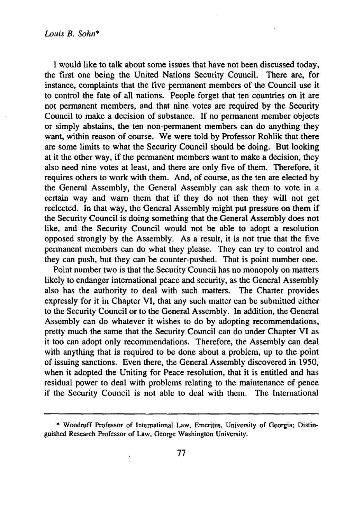**I** would like to talk about some issues that have not been discussed today, the first one being the United Nations Security Council. There are, for instance, complaints that the five permanent members of the Council use it to control the fate of all nations. People forget that ten countries on it are not permanent members, and that nine votes are required by the Security Council to make a decision of substance. If no permanent member objects or simply abstains, the ten non-permanent members can do anything they want, within reason of course. We were told by Professor Rohlik that there are some limits to what the Security Council should be doing. But looking at it the other way, if the permanent members want to make a decision, they also need nine votes at least, and there are only five of them. Therefore, it requires others to work with them. And, of course, as the ten are elected by the General Assembly, the General Assembly can ask them to vote in a certain way and warn them that if they do not then they will not get reelected. In that way, the General Assembly might put pressure on them if the Security Council is doing something that the General Assembly does not like, and the Security Council would not be able to adopt a resolution opposed strongly by the Assembly. As a result, it is not true that the five permanent members can do what they please. They can try to control and they can push, but they can be counter-pushed. That is point number one.

Point number two is that the Security Council has no monopoly on matters likely to endanger international peace and security, as the General Assembly also has the authority to deal with such matters. The Charter provides expressly for it in Chapter VI, that any such matter can be submitted either to the Security Council or to the General Assembly. In addition, the General Assembly can do whatever it wishes to do by adopting recommendations, pretty much the same that the Security Council can do under Chapter VI as it too can adopt only recommendations. Therefore, the Assembly can deal with anything that is required to be done about a problem, up to the point of issuing sanctions. Even there, the General Assembly discovered in 1950, when it adopted the Uniting for Peace resolution, that it is entitled and has residual power to deal with problems relating to the maintenance of peace if the Security Council is not able to deal with them. The International

**<sup>\*</sup>** Woodruff Professor of International Law, Emeritus, University of Georgia; Distinguished Research Professor of Law, George Washington University.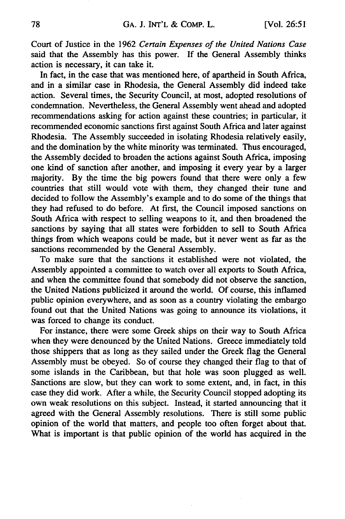Court of Justice in the 1962 *Certain Expenses of the United Nations Case* said that the Assembly has this power. If the General Assembly thinks action is necessary, it can take it.

In fact, in the case that was mentioned here, of apartheid in South Africa, and in a similar case in Rhodesia, the General Assembly did indeed take action. Several times, the Security Council, at most, adopted resolutions of condemnation. Nevertheless, the General Assembly went ahead and adopted recommendations asking for action against these countries; in particular, it recommended economic sanctions first against South Africa and later against Rhodesia. The Assembly succeeded in isolating Rhodesia relatively easily, and the domination by the white minority was terminated. Thus encouraged, the Assembly decided to broaden the actions against South Africa, imposing one kind of sanction after another, and imposing it every year by a larger majority. By the time the big powers found that there were only a few countries that still would vote with them, they changed their tune and decided to follow the Assembly's example and to do some of the things that they had refused to do before. At first, the Council imposed sanctions on South Africa with respect to selling weapons to it, and then broadened the sanctions by saying that all states were forbidden to sell to South Africa things from which weapons could be made, but it never went as far as the sanctions recommended by the General Assembly.

To make sure that the sanctions it established were not violated, the Assembly appointed a committee to watch over all exports to South Africa, and when the committee found that somebody did not observe the sanction, the United Nations publicized it around the world. Of course, this inflamed public opinion everywhere, and as soon as a country violating the embargo found out that the United Nations was going to announce its violations, it was forced to change its conduct.

For instance, there were some Greek ships on their way to South Africa when they were denounced by the United Nations. Greece immediately told those shippers that as long as they sailed under the Greek flag the General Assembly must be obeyed. So of course they changed their flag to that of some islands in the Caribbean, but that hole was soon plugged as well. Sanctions are slow, but they can work to some extent, and, in fact, in this case they did work. After a while, the Security Council stopped adopting its own weak resolutions on this subject. Instead, it started announcing that it agreed with the General Assembly resolutions. There is still some public opinion of the world that matters, and people too often forget about that. What is important is that public opinion of the world has acquired in the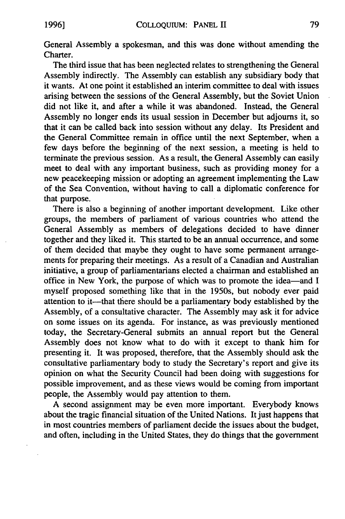General Assembly a spokesman, and this was done without amending the Charter.

The third issue that has been neglected relates to strengthening the General Assembly indirectly. The Assembly can establish any subsidiary body that it wants. At one point it established an interim committee to deal with issues arising between the sessions of the General Assembly, but the Soviet Union did not like it, and after a while it was abandoned. Instead, the General Assembly no longer ends its usual session in December but adjourns it, so that it can be called back into session without any delay. Its President and the General Committee remain in office until the next September, when a few days before the beginning of the next session, a meeting is held to terminate the previous session. As a result, the General Assembly can easily meet to deal with any important business, such as providing money for a new peacekeeping mission or adopting an agreement implementing the Law of the Sea Convention, without having to call a diplomatic conference for that purpose.

There is also a beginning of another important development. Like other groups, the members of parliament of various countries who attend the General Assembly as members of delegations decided to have dinner together and they liked it. This started to be an annual occurrence, and some of them decided that maybe they ought to have some permanent arrangements for preparing their meetings. As a result of a Canadian and Australian initiative, a group of parliamentarians elected a chairman and established an office in New York, the purpose of which was to promote the idea-and I myself proposed something like that in the 1950s, but nobody ever paid attention to it---that there should be a parliamentary body established by the Assembly, of a consultative character. The Assembly may ask it for advice on some issues on its agenda. For instance, as was previously mentioned today, the Secretary-General submits an annual report but the General Assembly does not know what to do with it except to thank him for presenting it. It was proposed, therefore, that the Assembly should ask the consultative parliamentary body to study the Secretary's report and give its opinion on what the Security Council had been doing with suggestions for possible improvement, and as these views would be coming from important people, the Assembly would pay attention to them.

A second assignment may be even more important. Everybody knows about the tragic financial situation of the United Nations. It just happens that in most countries members of parliament decide the issues about the budget, and often, including in the United States, they do things that the government